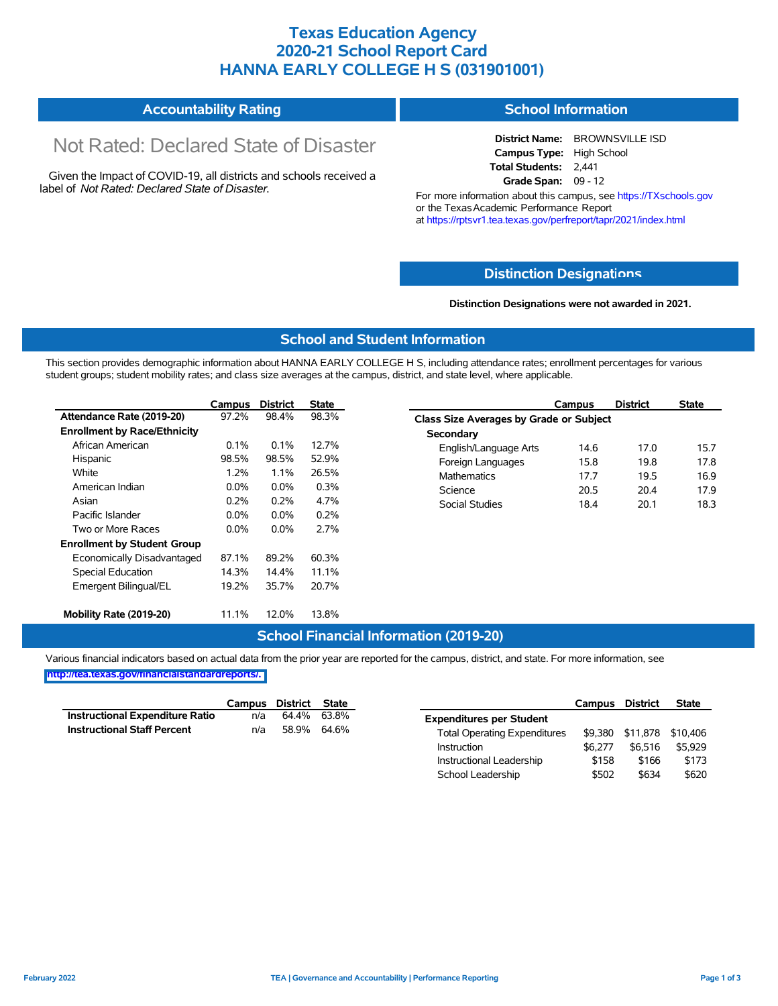### **Texas Education Agency 2020-21 School Report Card HANNA EARLY COLLEGE H S (031901001)**

#### **Accountability Rating School Information**

# Not Rated: Declared State of Disaster

Given the Impact of COVID-19, all districts and schools received a label of *Not Rated: Declared State of Disaster.*

**District Name:** BROWNSVILLE ISD **Campus Type:** High School **Total Students:** 2,441 **Grade Span:** 09 - 12

For more information about this campus, see https://TXschools.gov or the Texas Academic Performance Report at https://rptsvr1.tea.texas.gov/perfreport/tapr/2021/index.html

#### **Distinction Designat[ions](https://TXschools.gov)**

**Distinction Designations were not awarded in 2021.**

School Leadership  $$502$  \$634 \$620

#### **School and Student Information**

This section provides demographic information about HANNA EARLY COLLEGE H S, including attendance rates; enrollment percentages for various student groups; student mobility rates; and class size averages at the campus, district, and state level, where applicable.

|                                     | Campus  | <b>District</b> | <b>State</b> | <b>District</b><br>Campus                      | <b>State</b> |  |  |  |  |  |
|-------------------------------------|---------|-----------------|--------------|------------------------------------------------|--------------|--|--|--|--|--|
| Attendance Rate (2019-20)           | 97.2%   | 98.4%           | 98.3%        | <b>Class Size Averages by Grade or Subject</b> |              |  |  |  |  |  |
| <b>Enrollment by Race/Ethnicity</b> |         |                 |              | Secondary                                      |              |  |  |  |  |  |
| African American                    | $0.1\%$ | 0.1%            | 12.7%        | English/Language Arts<br>14.6<br>17.0          | 15.7         |  |  |  |  |  |
| Hispanic                            | 98.5%   | 98.5%           | 52.9%        | 15.8<br>19.8<br>Foreign Languages              | 17.8         |  |  |  |  |  |
| White                               | 1.2%    | 1.1%            | 26.5%        | 19.5<br><b>Mathematics</b><br>17.7             | 16.9         |  |  |  |  |  |
| American Indian                     | 0.0%    | $0.0\%$         | 0.3%         | Science<br>20.5<br>20.4                        | 17.9         |  |  |  |  |  |
| Asian                               | 0.2%    | 0.2%            | 4.7%         | Social Studies<br>18.4<br>20.1                 | 18.3         |  |  |  |  |  |
| Pacific Islander                    | $0.0\%$ | $0.0\%$         | 0.2%         |                                                |              |  |  |  |  |  |
| Two or More Races                   | $0.0\%$ | $0.0\%$         | 2.7%         |                                                |              |  |  |  |  |  |
| <b>Enrollment by Student Group</b>  |         |                 |              |                                                |              |  |  |  |  |  |
| Economically Disadvantaged          | 87.1%   | 89.2%           | 60.3%        |                                                |              |  |  |  |  |  |
| Special Education                   | 14.3%   | 14.4%           | 11.1%        |                                                |              |  |  |  |  |  |
| Emergent Bilingual/EL               | 19.2%   | 35.7%           | 20.7%        |                                                |              |  |  |  |  |  |
| Mobility Rate (2019-20)             | 11.1%   | 12.0%           | 13.8%        |                                                |              |  |  |  |  |  |

#### **School Financial Information (2019-20)**

Various financial indicators based on actual data from the prior year are reported for the campus, district, and state. For more information, see

**[http://tea.texas.gov/financialstandardreports/.](http://tea.texas.gov/financialstandardreports/)**

|                                        | Campus | District | <b>State</b> |                                     | Campus  | <b>District</b>           | <b>State</b> |
|----------------------------------------|--------|----------|--------------|-------------------------------------|---------|---------------------------|--------------|
| <b>Instructional Expenditure Ratio</b> | n/a    | 64.4%    | 63.8%        | <b>Expenditures per Student</b>     |         |                           |              |
| <b>Instructional Staff Percent</b>     | n/a    |          | 58.9% 64.6%  | <b>Total Operating Expenditures</b> |         | \$9.380 \$11.878 \$10.406 |              |
|                                        |        |          |              | Instruction                         | \$6.277 | \$6.516                   | \$5,929      |
|                                        |        |          |              | Instructional Leadership            | \$158   | \$166                     | \$173        |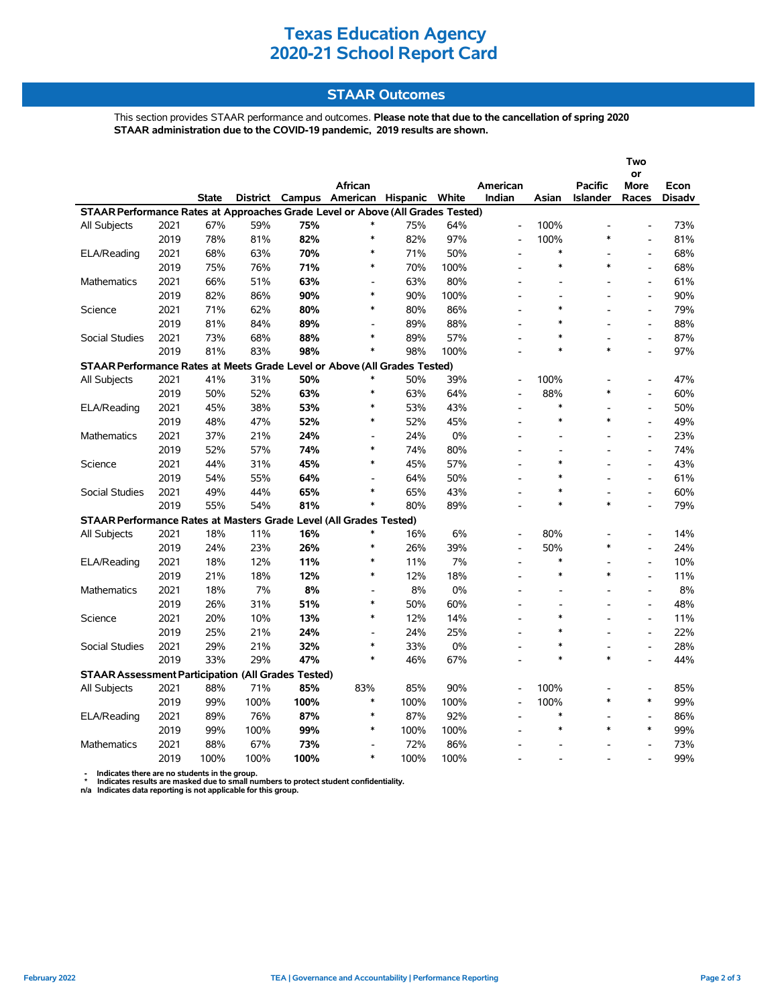### **Texas Education Agency 2020-21 School Report Card**

#### **STAAR Outcomes**

This section provides STAAR performance and outcomes. **Please note that due to the cancellation of spring 2020 STAAR administration due to the COVID-19 pandemic, 2019 results are shown.**

|                                                                                |      |       |                 |        |                   |      |       |                          |                |                 | Two                      |               |
|--------------------------------------------------------------------------------|------|-------|-----------------|--------|-------------------|------|-------|--------------------------|----------------|-----------------|--------------------------|---------------|
|                                                                                |      |       |                 |        |                   |      |       |                          |                |                 | or                       |               |
|                                                                                |      |       |                 |        | African           |      |       | American                 |                | Pacific         | More                     | Econ          |
|                                                                                |      | State | <b>District</b> | Campus | American Hispanic |      | White | Indian                   | Asian          | <b>Islander</b> | Races                    | <b>Disadv</b> |
| STAAR Performance Rates at Approaches Grade Level or Above (All Grades Tested) |      |       |                 |        |                   |      |       |                          |                |                 |                          |               |
| All Subjects                                                                   | 2021 | 67%   | 59%             | 75%    | $\ast$            | 75%  | 64%   | $\overline{a}$           | 100%           | $\ast$          |                          | 73%           |
|                                                                                | 2019 | 78%   | 81%             | 82%    | $\ast$            | 82%  | 97%   | $\overline{a}$           | 100%<br>$\ast$ |                 |                          | 81%           |
| ELA/Reading                                                                    | 2021 | 68%   | 63%             | 70%    |                   | 71%  | 50%   | $\overline{a}$           |                |                 | $\overline{a}$           | 68%           |
|                                                                                | 2019 | 75%   | 76%             | 71%    | $\ast$            | 70%  | 100%  |                          | $\ast$         | $\ast$          | $\overline{a}$           | 68%           |
| <b>Mathematics</b>                                                             | 2021 | 66%   | 51%             | 63%    | L,                | 63%  | 80%   |                          |                |                 | $\blacksquare$           | 61%           |
|                                                                                | 2019 | 82%   | 86%             | 90%    | *                 | 90%  | 100%  |                          |                |                 | $\overline{a}$           | 90%           |
| Science                                                                        | 2021 | 71%   | 62%             | 80%    | $\ast$            | 80%  | 86%   |                          | $\ast$         |                 | $\blacksquare$           | 79%           |
|                                                                                | 2019 | 81%   | 84%             | 89%    | $\blacksquare$    | 89%  | 88%   | $\overline{a}$           | $\ast$         |                 | $\bar{\phantom{a}}$      | 88%           |
| <b>Social Studies</b>                                                          | 2021 | 73%   | 68%             | 88%    | $\ast$            | 89%  | 57%   |                          | $\ast$         |                 | $\overline{a}$           | 87%           |
|                                                                                | 2019 | 81%   | 83%             | 98%    | $\ast$            | 98%  | 100%  |                          | $\ast$         | $\ast$          |                          | 97%           |
| STAAR Performance Rates at Meets Grade Level or Above (All Grades Tested)      |      |       |                 |        |                   |      |       |                          |                |                 |                          |               |
| All Subjects                                                                   | 2021 | 41%   | 31%             | 50%    |                   | 50%  | 39%   | $\overline{a}$           | 100%           |                 |                          | 47%           |
|                                                                                | 2019 | 50%   | 52%             | 63%    | $\ast$            | 63%  | 64%   | $\overline{a}$           | 88%            | $\ast$          |                          | 60%           |
| ELA/Reading                                                                    | 2021 | 45%   | 38%             | 53%    | $\ast$            | 53%  | 43%   |                          | $\ast$         |                 | $\frac{1}{2}$            | 50%           |
|                                                                                | 2019 | 48%   | 47%             | 52%    | $\ast$            | 52%  | 45%   |                          | $\ast$         | *               | $\overline{a}$           | 49%           |
| Mathematics                                                                    | 2021 | 37%   | 21%             | 24%    | L,                | 24%  | 0%    |                          |                |                 | $\frac{1}{2}$            | 23%           |
|                                                                                | 2019 | 52%   | 57%             | 74%    | *                 | 74%  | 80%   |                          |                |                 | $\overline{a}$           | 74%           |
| Science                                                                        | 2021 | 44%   | 31%             | 45%    | $\ast$            | 45%  | 57%   |                          | $\ast$         |                 | $\overline{a}$           | 43%           |
|                                                                                | 2019 | 54%   | 55%             | 64%    | $\overline{a}$    | 64%  | 50%   | $\overline{\phantom{a}}$ | $\ast$         |                 | $\bar{\phantom{a}}$      | 61%           |
| <b>Social Studies</b>                                                          | 2021 | 49%   | 44%             | 65%    | *                 | 65%  | 43%   | $\overline{\phantom{a}}$ | $\ast$         |                 | $\overline{a}$           | 60%           |
|                                                                                | 2019 | 55%   | 54%             | 81%    | $\ast$            | 80%  | 89%   |                          | $\ast$         | $\ast$          |                          | 79%           |
| STAAR Performance Rates at Masters Grade Level (All Grades Tested)             |      |       |                 |        |                   |      |       |                          |                |                 |                          |               |
| All Subjects                                                                   | 2021 | 18%   | 11%             | 16%    | *                 | 16%  | 6%    | L,                       | 80%            | ٠               | $\overline{a}$           | 14%           |
|                                                                                | 2019 | 24%   | 23%             | 26%    | $\ast$            | 26%  | 39%   |                          | 50%            | $\ast$          | $\overline{a}$           | 24%           |
| ELA/Reading                                                                    | 2021 | 18%   | 12%             | 11%    | $\ast$            | 11%  | 7%    |                          | $\ast$         |                 | $\frac{1}{2}$            | 10%           |
|                                                                                | 2019 | 21%   | 18%             | 12%    | $\ast$            | 12%  | 18%   | ٠                        | $\ast$         | $\ast$          | $\overline{a}$           | 11%           |
| Mathematics                                                                    | 2021 | 18%   | 7%              | 8%     |                   | 8%   | 0%    |                          |                |                 | $\overline{\phantom{a}}$ | $8\%$         |
|                                                                                | 2019 | 26%   | 31%             | 51%    | $\ast$            | 50%  | 60%   |                          |                |                 | $\overline{a}$           | 48%           |
| Science                                                                        | 2021 | 20%   | 10%             | 13%    | $\ast$            | 12%  | 14%   |                          | $\ast$         |                 | $\overline{\phantom{a}}$ | 11%           |
|                                                                                | 2019 | 25%   | 21%             | 24%    | $\blacksquare$    | 24%  | 25%   | $\overline{\phantom{a}}$ | $\ast$         |                 | $\overline{a}$           | 22%           |
| Social Studies                                                                 | 2021 | 29%   | 21%             | 32%    | $\ast$            | 33%  | 0%    |                          | $\ast$         |                 | $\overline{a}$           | 28%           |
|                                                                                | 2019 | 33%   | 29%             | 47%    | $\ast$            | 46%  | 67%   |                          | $\ast$         | $\ast$          |                          | 44%           |
| <b>STAAR Assessment Participation (All Grades Tested)</b>                      |      |       |                 |        |                   |      |       |                          |                |                 |                          |               |
| All Subjects                                                                   | 2021 | 88%   | 71%             | 85%    | 83%               | 85%  | 90%   | L,                       | 100%           |                 | $\overline{a}$           | 85%           |
|                                                                                | 2019 | 99%   | 100%            | 100%   | *                 | 100% | 100%  | $\overline{a}$           | 100%           | $\ast$          | $\ast$                   | 99%           |
| ELA/Reading                                                                    | 2021 | 89%   | 76%             | 87%    | *                 | 87%  | 92%   |                          | $\ast$         |                 |                          | 86%           |
|                                                                                | 2019 | 99%   | 100%            | 99%    | $\ast$            | 100% | 100%  |                          | $\ast$         | $\ast$          | $\ast$                   | 99%           |
| <b>Mathematics</b>                                                             | 2021 | 88%   | 67%             | 73%    |                   | 72%  | 86%   |                          |                |                 |                          | 73%           |
|                                                                                | 2019 | 100%  | 100%            | 100%   | $\ast$            | 100% | 100%  |                          |                |                 |                          | 99%           |
|                                                                                |      |       |                 |        |                   |      |       |                          |                |                 |                          |               |

 **- Indicates there are no students in the group. \* Indicates results are masked due to small numbers to protect student confidentiality.**

**n/a Indicates data reporting is not applicable for this group.**